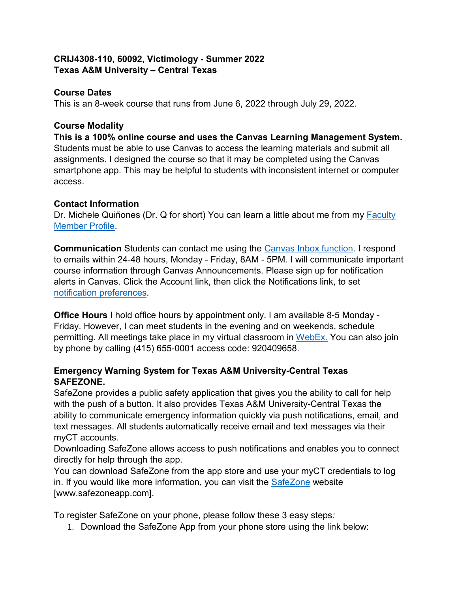### **CRIJ4308-110, 60092, Victimology - Summer 2022 Texas A&M University – Central Texas**

## **Course Dates**

This is an 8-week course that runs from June 6, 2022 through July 29, 2022.

## **Course Modality**

**This is a 100% online course and uses the Canvas Learning Management System.** Students must be able to use Canvas to access the learning materials and submit all assignments. I designed the course so that it may be completed using the Canvas smartphone app. This may be helpful to students with inconsistent internet or computer access.

## **Contact Information**

Dr. Michele Quiñones (Dr. Q for short) You can learn a little about me from my Faculty [Member Profile.](https://www.tamuct.edu/directory/dir-coas/quinones-michele.html)

**Communication** Students can contact me using the [Canvas Inbox function.](https://community.canvaslms.com/t5/Student-Guide/How-do-I-use-the-Inbox-as-a-student/ta-p/532) I respond to emails within 24-48 hours, Monday - Friday, 8AM - 5PM. I will communicate important course information through Canvas Announcements. Please sign up for notification alerts in Canvas. Click the Account link, then click the Notifications link, to set [notification preferences.](https://community.canvaslms.com/t5/Student-Guide/How-do-I-set-my-Canvas-notification-preferences-as-a-student/ta-p/434)

**Office Hours** I hold office hours by appointment only. I am available 8-5 Monday - Friday. However, I can meet students in the evening and on weekends, schedule permitting. All meetings take place in my virtual classroom in [WebEx.](https://tamuct.webex.com/meet/mquinones) You can also join by phone by calling (415) 655-0001 access code: 920409658.

## **Emergency Warning System for Texas A&M University-Central Texas SAFEZONE.**

SafeZone provides a public safety application that gives you the ability to call for help with the push of a button. It also provides Texas A&M University-Central Texas the ability to communicate emergency information quickly via push notifications, email, and text messages. All students automatically receive email and text messages via their myCT accounts.

Downloading SafeZone allows access to push notifications and enables you to connect directly for help through the app.

You can download SafeZone from the app store and use your myCT credentials to log in. If you would like more information, you can visit the [SafeZone](http://www.safezoneapp.com/) website [www.safezoneapp.com].

To register SafeZone on your phone, please follow these 3 easy steps*:*

1. Download the SafeZone App from your phone store using the link below: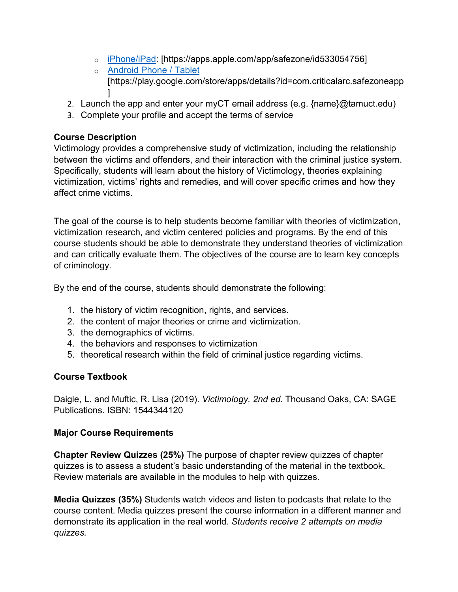- o [iPhone/iPad:](https://apps.apple.com/app/safezone/id533054756) [https://apps.apple.com/app/safezone/id533054756]
- o [Android Phone / Tablet](https://play.google.com/store/apps/details?id=com.criticalarc.safezoneapp) [https://play.google.com/store/apps/details?id=com.criticalarc.safezoneapp ]
- 2. Launch the app and enter your myCT email address (e.g. {name}@tamuct.edu)
- 3. Complete your profile and accept the terms of service

### **Course Description**

Victimology provides a comprehensive study of victimization, including the relationship between the victims and offenders, and their interaction with the criminal justice system. Specifically, students will learn about the history of Victimology, theories explaining victimization, victims' rights and remedies, and will cover specific crimes and how they affect crime victims.

The goal of the course is to help students become familiar with theories of victimization, victimization research, and victim centered policies and programs. By the end of this course students should be able to demonstrate they understand theories of victimization and can critically evaluate them. The objectives of the course are to learn key concepts of criminology.

By the end of the course, students should demonstrate the following:

- 1. the history of victim recognition, rights, and services.
- 2. the content of major theories or crime and victimization.
- 3. the demographics of victims.
- 4. the behaviors and responses to victimization
- 5. theoretical research within the field of criminal justice regarding victims.

# **Course Textbook**

Daigle, L. and Muftic, R. Lisa (2019). *Victimology, 2nd ed.* Thousand Oaks, CA: SAGE Publications. ISBN: 1544344120

#### **Major Course Requirements**

**Chapter Review Quizzes (25%)** The purpose of chapter review quizzes of chapter quizzes is to assess a student's basic understanding of the material in the textbook. Review materials are available in the modules to help with quizzes.

**Media Quizzes (35%)** Students watch videos and listen to podcasts that relate to the course content. Media quizzes present the course information in a different manner and demonstrate its application in the real world. *Students receive 2 attempts on media quizzes.*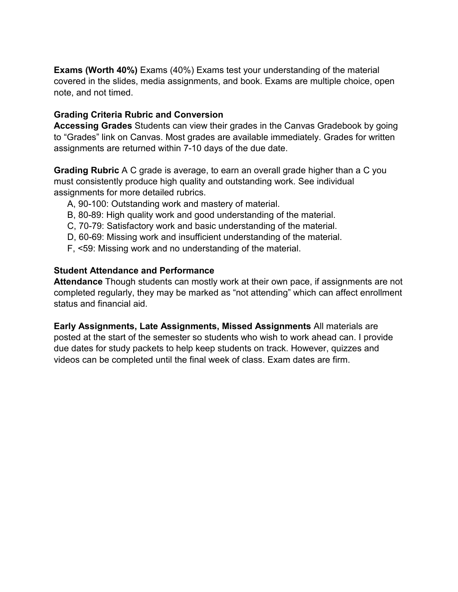**Exams (Worth 40%)** Exams (40%) Exams test your understanding of the material covered in the slides, media assignments, and book. Exams are multiple choice, open note, and not timed.

#### **Grading Criteria Rubric and Conversion**

**Accessing Grades** Students can view their grades in the Canvas Gradebook by going to "Grades" link on Canvas. Most grades are available immediately. Grades for written assignments are returned within 7-10 days of the due date.

**Grading Rubric** A C grade is average, to earn an overall grade higher than a C you must consistently produce high quality and outstanding work. See individual assignments for more detailed rubrics.

- A, 90-100: Outstanding work and mastery of material.
- B, 80-89: High quality work and good understanding of the material.
- C, 70-79: Satisfactory work and basic understanding of the material.
- D, 60-69: Missing work and insufficient understanding of the material.
- F, <59: Missing work and no understanding of the material.

#### **Student Attendance and Performance**

**Attendance** Though students can mostly work at their own pace, if assignments are not completed regularly, they may be marked as "not attending" which can affect enrollment status and financial aid.

**Early Assignments, Late Assignments, Missed Assignments** All materials are posted at the start of the semester so students who wish to work ahead can. I provide due dates for study packets to help keep students on track. However, quizzes and videos can be completed until the final week of class. Exam dates are firm.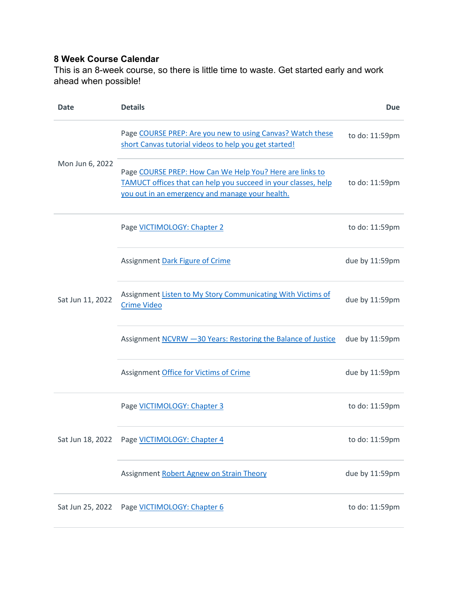# **8 Week Course Calendar**

This is an 8-week course, so there is little time to waste. Get started early and work ahead when possible!

| Date             | <b>Details</b>                                                                                                                                                                | Due            |
|------------------|-------------------------------------------------------------------------------------------------------------------------------------------------------------------------------|----------------|
| Mon Jun 6, 2022  | Page COURSE PREP: Are you new to using Canvas? Watch these<br>short Canvas tutorial videos to help you get started!                                                           | to do: 11:59pm |
|                  | Page COURSE PREP: How Can We Help You? Here are links to<br>TAMUCT offices that can help you succeed in your classes, help<br>you out in an emergency and manage your health. | to do: 11:59pm |
| Sat Jun 11, 2022 | Page VICTIMOLOGY: Chapter 2                                                                                                                                                   | to do: 11:59pm |
|                  | Assignment Dark Figure of Crime                                                                                                                                               | due by 11:59pm |
|                  | Assignment Listen to My Story Communicating With Victims of<br><b>Crime Video</b>                                                                                             | due by 11:59pm |
|                  | Assignment NCVRW -30 Years: Restoring the Balance of Justice                                                                                                                  | due by 11:59pm |
|                  | Assignment Office for Victims of Crime                                                                                                                                        | due by 11:59pm |
| Sat Jun 18, 2022 | Page VICTIMOLOGY: Chapter 3                                                                                                                                                   | to do: 11:59pm |
|                  | Page VICTIMOLOGY: Chapter 4                                                                                                                                                   | to do: 11:59pm |
|                  | Assignment Robert Agnew on Strain Theory                                                                                                                                      | due by 11:59pm |
| Sat Jun 25, 2022 | Page VICTIMOLOGY: Chapter 6                                                                                                                                                   | to do: 11:59pm |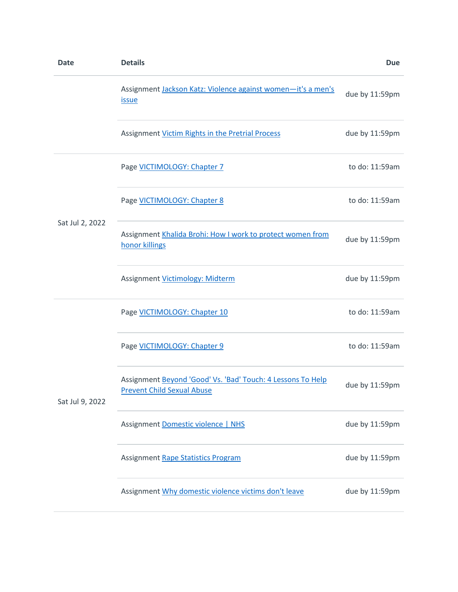| <b>Date</b>     | <b>Details</b>                                                                                   | <b>Due</b>     |
|-----------------|--------------------------------------------------------------------------------------------------|----------------|
|                 | Assignment Jackson Katz: Violence against women-it's a men's<br><i>issue</i>                     | due by 11:59pm |
|                 | Assignment Victim Rights in the Pretrial Process                                                 | due by 11:59pm |
| Sat Jul 2, 2022 | Page VICTIMOLOGY: Chapter 7                                                                      | to do: 11:59am |
|                 | Page VICTIMOLOGY: Chapter 8                                                                      | to do: 11:59am |
|                 | Assignment Khalida Brohi: How I work to protect women from<br>honor killings                     | due by 11:59pm |
|                 | Assignment Victimology: Midterm                                                                  | due by 11:59pm |
| Sat Jul 9, 2022 | Page VICTIMOLOGY: Chapter 10                                                                     | to do: 11:59am |
|                 | Page VICTIMOLOGY: Chapter 9                                                                      | to do: 11:59am |
|                 | Assignment Beyond 'Good' Vs. 'Bad' Touch: 4 Lessons To Help<br><b>Prevent Child Sexual Abuse</b> | due by 11:59pm |
|                 | Assignment Domestic violence   NHS                                                               | due by 11:59pm |
|                 | Assignment Rape Statistics Program                                                               | due by 11:59pm |
|                 | Assignment Why domestic violence victims don't leave                                             | due by 11:59pm |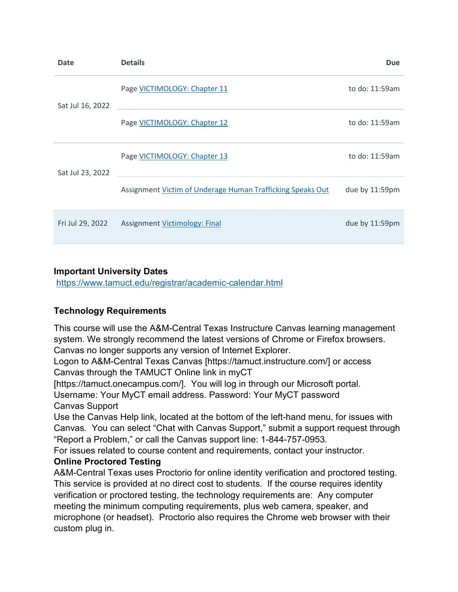| <b>Date</b>      | <b>Details</b>                                             | <b>Due</b>     |
|------------------|------------------------------------------------------------|----------------|
| Sat Jul 16, 2022 | Page VICTIMOLOGY: Chapter 11                               | to do: 11:59am |
|                  | Page VICTIMOLOGY: Chapter 12                               | to do: 11:59am |
| Sat Jul 23, 2022 | Page VICTIMOLOGY: Chapter 13                               | to do: 11:59am |
|                  | Assignment Victim of Underage Human Trafficking Speaks Out | due by 11:59pm |
| Fri Jul 29, 2022 | <b>Assignment Victimology: Final</b>                       | due by 11:59pm |

#### **Important University Dates**

<https://www.tamuct.edu/registrar/academic-calendar.html>

#### **Technology Requirements**

This course will use the A&M-Central Texas Instructure Canvas learning management system. We strongly recommend the latest versions of Chrome or Firefox browsers. Canvas no longer supports any version of Internet Explorer.

Logon to A&M-Central Texas Canvas [https://tamuct.instructure.com/] or access Canvas through the TAMUCT Online link in myCT

[https://tamuct.onecampus.com/]. You will log in through our Microsoft portal.

Username: Your MyCT email address. Password: Your MyCT password Canvas Support

Use the Canvas Help link, located at the bottom of the left-hand menu, for issues with Canvas. You can select "Chat with Canvas Support," submit a support request through "Report a Problem," or call the Canvas support line: 1-844-757-0953.

For issues related to course content and requirements, contact your instructor.

#### **Online Proctored Testing**

A&M-Central Texas uses Proctorio for online identity verification and proctored testing. This service is provided at no direct cost to students. If the course requires identity verification or proctored testing, the technology requirements are: Any computer meeting the minimum computing requirements, plus web camera, speaker, and microphone (or headset). Proctorio also requires the Chrome web browser with their custom plug in.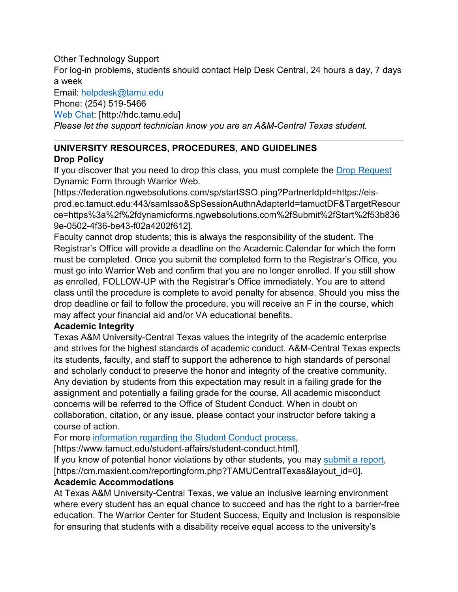### Other Technology Support

For log-in problems, students should contact Help Desk Central, 24 hours a day, 7 days a week

Email: [helpdesk@tamu.edu](mailto:helpdesk@tamu.edu)

Phone: (254) 519-5466

[Web Chat:](http://hdc.tamu.edu/) [http://hdc.tamu.edu]

*Please let the support technician know you are an A&M-Central Texas student.*

# **UNIVERSITY RESOURCES, PROCEDURES, AND GUIDELINES**

# **Drop Policy**

If you discover that you need to drop this class, you must complete the [Drop Request](https://federation.ngwebsolutions.com/sp/startSSO.ping?PartnerIdpId=https://eis-prod.ec.tamuct.edu:443/samlsso&SpSessionAuthnAdapterId=tamuctDF&TargetResource=https%3a%2f%2fdynamicforms.ngwebsolutions.com%2fSubmit%2fStart%2f53b8369e-0502-4f36-be43-f02a4202f612) Dynamic Form through Warrior Web.

[https://federation.ngwebsolutions.com/sp/startSSO.ping?PartnerIdpId=https://eisprod.ec.tamuct.edu:443/samlsso&SpSessionAuthnAdapterId=tamuctDF&TargetResour ce=https%3a%2f%2fdynamicforms.ngwebsolutions.com%2fSubmit%2fStart%2f53b836 9e-0502-4f36-be43-f02a4202f612].

Faculty cannot drop students; this is always the responsibility of the student. The Registrar's Office will provide a deadline on the Academic Calendar for which the form must be completed. Once you submit the completed form to the Registrar's Office, you must go into Warrior Web and confirm that you are no longer enrolled. If you still show as enrolled, FOLLOW-UP with the Registrar's Office immediately. You are to attend class until the procedure is complete to avoid penalty for absence. Should you miss the drop deadline or fail to follow the procedure, you will receive an F in the course, which may affect your financial aid and/or VA educational benefits.

# **Academic Integrity**

Texas A&M University-Central Texas values the integrity of the academic enterprise and strives for the highest standards of academic conduct. A&M-Central Texas expects its students, faculty, and staff to support the adherence to high standards of personal and scholarly conduct to preserve the honor and integrity of the creative community. Any deviation by students from this expectation may result in a failing grade for the assignment and potentially a failing grade for the course. All academic misconduct concerns will be referred to the Office of Student Conduct. When in doubt on collaboration, citation, or any issue, please contact your instructor before taking a course of action.

For more [information regarding the Student Conduct process,](https://nam04.safelinks.protection.outlook.com/?url=https%3A%2F%2Fwww.tamuct.edu%2Fstudent-affairs%2Fstudent-conduct.html&data=04%7C01%7Clisa.bunkowski%40tamuct.edu%7Ccfb6e486f24745f53e1a08d910055cb2%7C9eed4e3000f744849ff193ad8005acec%7C0%7C0%7C637558437485252160%7CUnknown%7CTWFpbGZsb3d8eyJWIjoiMC4wLjAwMDAiLCJQIjoiV2luMzIiLCJBTiI6Ik1haWwiLCJXVCI6Mn0%3D%7C1000&sdata=yjftDEVHvLX%2FhM%2FcFU0B99krV1RgEWR%2BJ%2BhvtoR6TYk%3D&reserved=0)

[https://www.tamuct.edu/student-affairs/student-conduct.html].

If you know of potential honor violations by other students, you may [submit a report,](https://nam04.safelinks.protection.outlook.com/?url=https%3A%2F%2Fcm.maxient.com%2Freportingform.php%3FTAMUCentralTexas%26layout_id%3D0&data=04%7C01%7Clisa.bunkowski%40tamuct.edu%7Ccfb6e486f24745f53e1a08d910055cb2%7C9eed4e3000f744849ff193ad8005acec%7C0%7C0%7C637558437485262157%7CUnknown%7CTWFpbGZsb3d8eyJWIjoiMC4wLjAwMDAiLCJQIjoiV2luMzIiLCJBTiI6Ik1haWwiLCJXVCI6Mn0%3D%7C1000&sdata=CXGkOa6uPDPX1IMZ87z3aZDq2n91xfHKu4MMS43Ejjk%3D&reserved=0) [https://cm.maxient.com/reportingform.php?TAMUCentralTexas&layout\_id=0].

# **Academic Accommodations**

At Texas A&M University-Central Texas, we value an inclusive learning environment where every student has an equal chance to succeed and has the right to a barrier-free education. The Warrior Center for Student Success, Equity and Inclusion is responsible for ensuring that students with a disability receive equal access to the university's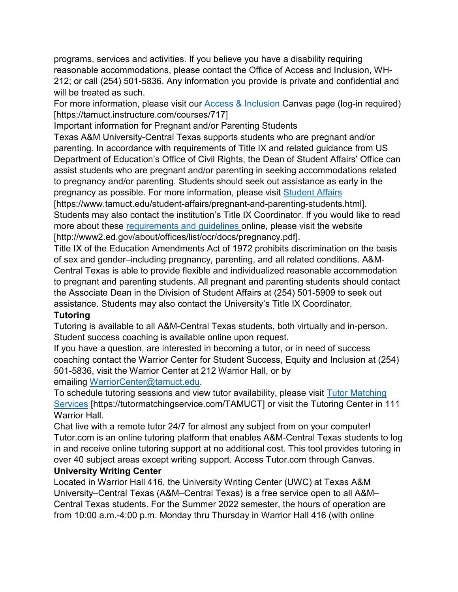programs, services and activities. If you believe you have a disability requiring reasonable accommodations, please contact the Office of Access and Inclusion, WH-212; or call (254) 501-5836. Any information you provide is private and confidential and will be treated as such.

For more information, please visit our [Access & Inclusion](https://tamuct.instructure.com/courses/717) Canvas page (log-in required) [https://tamuct.instructure.com/courses/717]

Important information for Pregnant and/or Parenting Students

Texas A&M University-Central Texas supports students who are pregnant and/or parenting. In accordance with requirements of Title IX and related guidance from US Department of Education's Office of Civil Rights, the Dean of Student Affairs' Office can assist students who are pregnant and/or parenting in seeking accommodations related to pregnancy and/or parenting. Students should seek out assistance as early in the pregnancy as possible. For more information, please visit [Student Affairs](https://www.tamuct.edu/student-affairs/pregnant-and-parenting-students.html)

[https://www.tamuct.edu/student-affairs/pregnant-and-parenting-students.html]. Students may also contact the institution's Title IX Coordinator. If you would like to read more about these [requirements and guidelines](http://www2.ed.gov/about/offices/list/ocr/docs/pregnancy.pdf) online, please visit the website [http://www2.ed.gov/about/offices/list/ocr/docs/pregnancy.pdf].

Title IX of the Education Amendments Act of 1972 prohibits discrimination on the basis of sex and gender–including pregnancy, parenting, and all related conditions. A&M-Central Texas is able to provide flexible and individualized reasonable accommodation to pregnant and parenting students. All pregnant and parenting students should contact the Associate Dean in the Division of Student Affairs at (254) 501-5909 to seek out assistance. Students may also contact the University's Title IX Coordinator.

#### **Tutoring**

Tutoring is available to all A&M-Central Texas students, both virtually and in-person. Student success coaching is available online upon request.

If you have a question, are interested in becoming a tutor, or in need of success coaching contact the Warrior Center for Student Success, Equity and Inclusion at (254) 501-5836, visit the Warrior Center at 212 Warrior Hall, or by emailing [WarriorCenter@tamuct.edu.](mailto:WarriorCenter@tamuct.edu)

To schedule tutoring sessions and view tutor availability, please visit [Tutor Matching](https://tutormatchingservice.com/TAMUCT)  [Services](https://tutormatchingservice.com/TAMUCT) [https://tutormatchingservice.com/TAMUCT] or visit the Tutoring Center in 111 Warrior Hall.

Chat live with a remote tutor 24/7 for almost any subject from on your computer! Tutor.com is an online tutoring platform that enables A&M-Central Texas students to log in and receive online tutoring support at no additional cost. This tool provides tutoring in over 40 subject areas except writing support. Access Tutor.com through Canvas. **University Writing Center**

Located in Warrior Hall 416, the University Writing Center (UWC) at Texas A&M University–Central Texas (A&M–Central Texas) is a free service open to all A&M– Central Texas students. For the Summer 2022 semester, the hours of operation are from 10:00 a.m.-4:00 p.m. Monday thru Thursday in Warrior Hall 416 (with online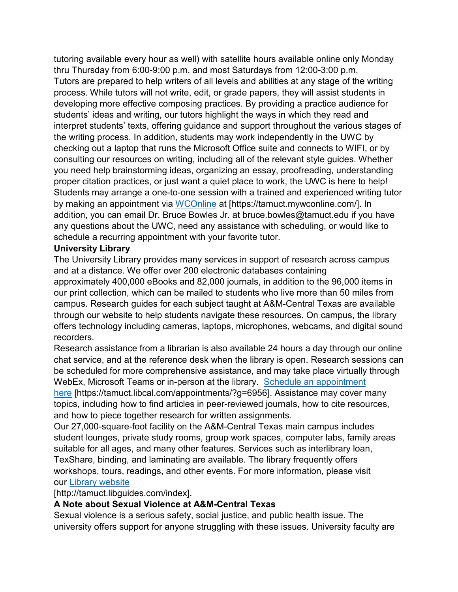tutoring available every hour as well) with satellite hours available online only Monday thru Thursday from 6:00-9:00 p.m. and most Saturdays from 12:00-3:00 p.m. Tutors are prepared to help writers of all levels and abilities at any stage of the writing process. While tutors will not write, edit, or grade papers, they will assist students in developing more effective composing practices. By providing a practice audience for students' ideas and writing, our tutors highlight the ways in which they read and interpret students' texts, offering guidance and support throughout the various stages of the writing process. In addition, students may work independently in the UWC by checking out a laptop that runs the Microsoft Office suite and connects to WIFI, or by consulting our resources on writing, including all of the relevant style guides. Whether you need help brainstorming ideas, organizing an essay, proofreading, understanding proper citation practices, or just want a quiet place to work, the UWC is here to help! Students may arrange a one-to-one session with a trained and experienced writing tutor by making an appointment via [WCOnline](https://tamuct.mywconline.com/) at [https://tamuct.mywconline.com/]. In addition, you can email Dr. Bruce Bowles Jr. at bruce.bowles@tamuct.edu if you have any questions about the UWC, need any assistance with scheduling, or would like to schedule a recurring appointment with your favorite tutor.

#### **University Library**

The University Library provides many services in support of research across campus and at a distance. We offer over 200 electronic databases containing approximately 400,000 eBooks and 82,000 journals, in addition to the 96,000 items in our print collection, which can be mailed to students who live more than 50 miles from campus. Research guides for each subject taught at A&M-Central Texas are available through our website to help students navigate these resources. On campus, the library offers technology including cameras, laptops, microphones, webcams, and digital sound recorders.

Research assistance from a librarian is also available 24 hours a day through our online chat service, and at the reference desk when the library is open. Research sessions can be scheduled for more comprehensive assistance, and may take place virtually through WebEx, Microsoft Teams or in-person at the library. [Schedule an appointment](https://nam04.safelinks.protection.outlook.com/?url=https%3A%2F%2Ftamuct.libcal.com%2Fappointments%2F%3Fg%3D6956&data=04%7C01%7Clisa.bunkowski%40tamuct.edu%7Cde2c07d9f5804f09518008d9ab7ba6ff%7C9eed4e3000f744849ff193ad8005acec%7C0%7C0%7C637729369835011558%7CUnknown%7CTWFpbGZsb3d8eyJWIjoiMC4wLjAwMDAiLCJQIjoiV2luMzIiLCJBTiI6Ik1haWwiLCJXVCI6Mn0%3D%7C3000&sdata=KhtjgRSAw9aq%2FoBsB6wyu8b7PSuGN5EGPypzr3Ty2No%3D&reserved=0)  [here](https://nam04.safelinks.protection.outlook.com/?url=https%3A%2F%2Ftamuct.libcal.com%2Fappointments%2F%3Fg%3D6956&data=04%7C01%7Clisa.bunkowski%40tamuct.edu%7Cde2c07d9f5804f09518008d9ab7ba6ff%7C9eed4e3000f744849ff193ad8005acec%7C0%7C0%7C637729369835011558%7CUnknown%7CTWFpbGZsb3d8eyJWIjoiMC4wLjAwMDAiLCJQIjoiV2luMzIiLCJBTiI6Ik1haWwiLCJXVCI6Mn0%3D%7C3000&sdata=KhtjgRSAw9aq%2FoBsB6wyu8b7PSuGN5EGPypzr3Ty2No%3D&reserved=0) [https://tamuct.libcal.com/appointments/?g=6956]. Assistance may cover many topics, including how to find articles in peer-reviewed journals, how to cite resources, and how to piece together research for written assignments.

Our 27,000-square-foot facility on the A&M-Central Texas main campus includes student lounges, private study rooms, group work spaces, computer labs, family areas suitable for all ages, and many other features. Services such as interlibrary loan, TexShare, binding, and laminating are available. The library frequently offers workshops, tours, readings, and other events. For more information, please visit our [Library website](https://nam04.safelinks.protection.outlook.com/?url=https%3A%2F%2Ftamuct.libguides.com%2Findex&data=04%7C01%7Clisa.bunkowski%40tamuct.edu%7C7d8489e8839a4915335f08d916f067f2%7C9eed4e3000f744849ff193ad8005acec%7C0%7C0%7C637566044056484222%7CUnknown%7CTWFpbGZsb3d8eyJWIjoiMC4wLjAwMDAiLCJQIjoiV2luMzIiLCJBTiI6Ik1haWwiLCJXVCI6Mn0%3D%7C1000&sdata=2R755V6rcIyedGrd4Os5rkgn1PvhHKU3kUV1vBKiHFo%3D&reserved=0)

[http://tamuct.libguides.com/index].

# **A Note about Sexual Violence at A&M-Central Texas**

Sexual violence is a serious safety, social justice, and public health issue. The university offers support for anyone struggling with these issues. University faculty are